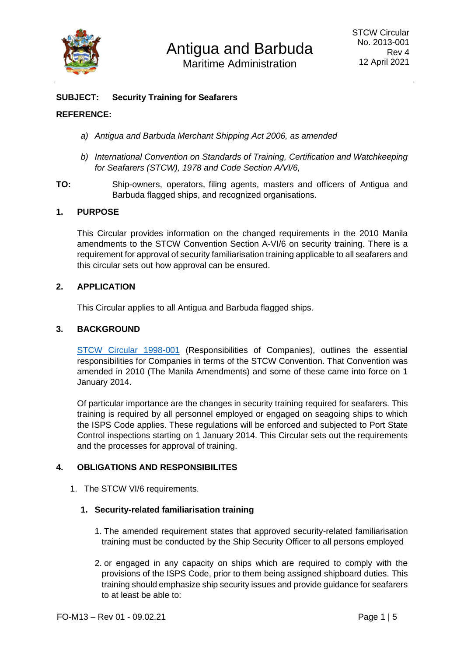

# **SUBJECT: Security Training for Seafarers**

#### **REFERENCE:**

- *a) Antigua and Barbuda Merchant Shipping Act 2006, as amended*
- *b) International Convention on Standards of Training, Certification and Watchkeeping for Seafarers (STCW), 1978 and Code Section A/VI/6,*
- **TO:** Ship-owners, operators, filing agents, masters and officers of Antigua and Barbuda flagged ships, and recognized organisations.

### **1. PURPOSE**

This Circular provides information on the changed requirements in the 2010 Manila amendments to the STCW Convention Section A-VI/6 on security training. There is a requirement for approval of security familiarisation training applicable to all seafarers and this circular sets out how approval can be ensured.

#### **2. APPLICATION**

This Circular applies to all Antigua and Barbuda flagged ships.

### **3. BACKGROUND**

[STCW Circular 1998-001](https://www.abregistry.ag/wp-content/uploads/2013/01/STCW-Circ-1998-001-Company-Responsibilities.pdf) (Responsibilities of Companies), outlines the essential responsibilities for Companies in terms of the STCW Convention. That Convention was amended in 2010 (The Manila Amendments) and some of these came into force on 1 January 2014.

Of particular importance are the changes in security training required for seafarers. This training is required by all personnel employed or engaged on seagoing ships to which the ISPS Code applies. These regulations will be enforced and subjected to Port State Control inspections starting on 1 January 2014. This Circular sets out the requirements and the processes for approval of training.

### **4. OBLIGATIONS AND RESPONSIBILITES**

1. The STCW VI/6 requirements.

### **1. Security-related familiarisation training**

- 1. The amended requirement states that approved security-related familiarisation training must be conducted by the Ship Security Officer to all persons employed
- 2. or engaged in any capacity on ships which are required to comply with the provisions of the ISPS Code, prior to them being assigned shipboard duties. This training should emphasize ship security issues and provide guidance for seafarers to at least be able to: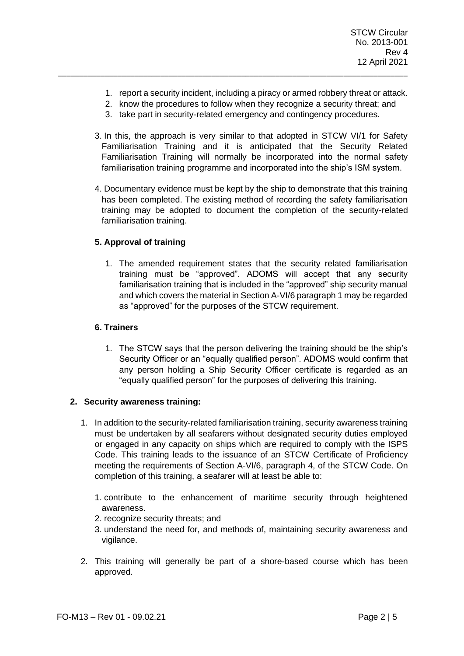- 1. report a security incident, including a piracy or armed robbery threat or attack.
- 2. know the procedures to follow when they recognize a security threat; and
- 3. take part in security-related emergency and contingency procedures.

\_\_\_\_\_\_\_\_\_\_\_\_\_\_\_\_\_\_\_\_\_\_\_\_\_\_\_\_\_\_\_\_\_\_\_\_\_\_\_\_\_\_\_\_\_\_\_\_\_\_\_\_\_\_\_\_\_\_\_\_\_\_\_\_\_\_\_\_\_\_\_\_\_\_\_\_\_\_\_\_\_\_

- 3. In this, the approach is very similar to that adopted in STCW VI/1 for Safety Familiarisation Training and it is anticipated that the Security Related Familiarisation Training will normally be incorporated into the normal safety familiarisation training programme and incorporated into the ship's ISM system.
- 4. Documentary evidence must be kept by the ship to demonstrate that this training has been completed. The existing method of recording the safety familiarisation training may be adopted to document the completion of the security-related familiarisation training.

## **5. Approval of training**

1. The amended requirement states that the security related familiarisation training must be "approved". ADOMS will accept that any security familiarisation training that is included in the "approved" ship security manual and which covers the material in Section A-VI/6 paragraph 1 may be regarded as "approved" for the purposes of the STCW requirement.

## **6. Trainers**

1. The STCW says that the person delivering the training should be the ship's Security Officer or an "equally qualified person". ADOMS would confirm that any person holding a Ship Security Officer certificate is regarded as an "equally qualified person" for the purposes of delivering this training.

### **2. Security awareness training:**

- 1. In addition to the security-related familiarisation training, security awareness training must be undertaken by all seafarers without designated security duties employed or engaged in any capacity on ships which are required to comply with the ISPS Code. This training leads to the issuance of an STCW Certificate of Proficiency meeting the requirements of Section A-VI/6, paragraph 4, of the STCW Code. On completion of this training, a seafarer will at least be able to:
	- 1. contribute to the enhancement of maritime security through heightened awareness.
	- 2. recognize security threats; and
	- 3. understand the need for, and methods of, maintaining security awareness and vigilance.
- 2. This training will generally be part of a shore-based course which has been approved.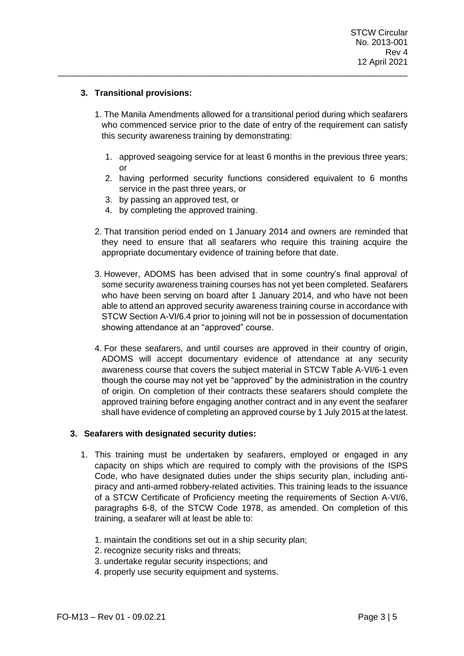## **3. Transitional provisions:**

1. The Manila Amendments allowed for a transitional period during which seafarers who commenced service prior to the date of entry of the requirement can satisfy this security awareness training by demonstrating:

\_\_\_\_\_\_\_\_\_\_\_\_\_\_\_\_\_\_\_\_\_\_\_\_\_\_\_\_\_\_\_\_\_\_\_\_\_\_\_\_\_\_\_\_\_\_\_\_\_\_\_\_\_\_\_\_\_\_\_\_\_\_\_\_\_\_\_\_\_\_\_\_\_\_\_\_\_\_\_\_\_\_

- 1. approved seagoing service for at least 6 months in the previous three years; or
- 2. having performed security functions considered equivalent to 6 months service in the past three years, or
- 3. by passing an approved test, or
- 4. by completing the approved training.
- 2. That transition period ended on 1 January 2014 and owners are reminded that they need to ensure that all seafarers who require this training acquire the appropriate documentary evidence of training before that date.
- 3. However, ADOMS has been advised that in some country's final approval of some security awareness training courses has not yet been completed. Seafarers who have been serving on board after 1 January 2014, and who have not been able to attend an approved security awareness training course in accordance with STCW Section A-VI/6.4 prior to joining will not be in possession of documentation showing attendance at an "approved" course.
- 4. For these seafarers, and until courses are approved in their country of origin, ADOMS will accept documentary evidence of attendance at any security awareness course that covers the subject material in STCW Table A-VI/6-1 even though the course may not yet be "approved" by the administration in the country of origin. On completion of their contracts these seafarers should complete the approved training before engaging another contract and in any event the seafarer shall have evidence of completing an approved course by 1 July 2015 at the latest.

### **3. Seafarers with designated security duties:**

- 1. This training must be undertaken by seafarers, employed or engaged in any capacity on ships which are required to comply with the provisions of the ISPS Code, who have designated duties under the ships security plan, including antipiracy and anti-armed robbery-related activities. This training leads to the issuance of a STCW Certificate of Proficiency meeting the requirements of Section A-VI/6, paragraphs 6-8, of the STCW Code 1978, as amended. On completion of this training, a seafarer will at least be able to:
	- 1. maintain the conditions set out in a ship security plan;
	- 2. recognize security risks and threats;
	- 3. undertake regular security inspections; and
	- 4. properly use security equipment and systems.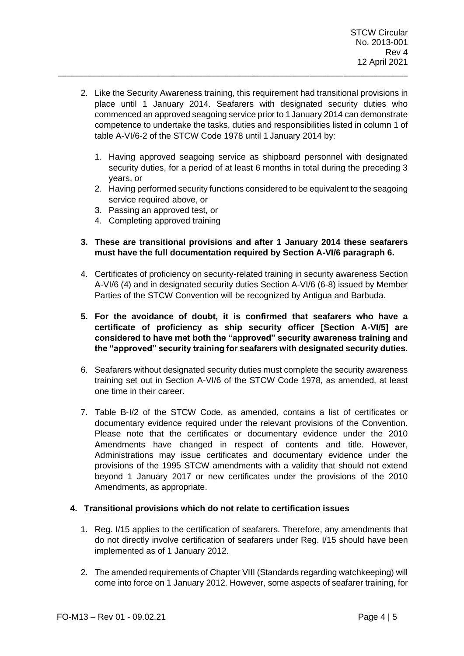2. Like the Security Awareness training, this requirement had transitional provisions in place until 1 January 2014. Seafarers with designated security duties who commenced an approved seagoing service prior to 1January 2014 can demonstrate competence to undertake the tasks, duties and responsibilities listed in column 1 of table A-VI/6-2 of the STCW Code 1978 until 1 January 2014 by:

\_\_\_\_\_\_\_\_\_\_\_\_\_\_\_\_\_\_\_\_\_\_\_\_\_\_\_\_\_\_\_\_\_\_\_\_\_\_\_\_\_\_\_\_\_\_\_\_\_\_\_\_\_\_\_\_\_\_\_\_\_\_\_\_\_\_\_\_\_\_\_\_\_\_\_\_\_\_\_\_\_\_

- 1. Having approved seagoing service as shipboard personnel with designated security duties, for a period of at least 6 months in total during the preceding 3 years, or
- 2. Having performed security functions considered to be equivalent to the seagoing service required above, or
- 3. Passing an approved test, or
- 4. Completing approved training

## **3. These are transitional provisions and after 1 January 2014 these seafarers must have the full documentation required by Section A-VI/6 paragraph 6.**

- 4. Certificates of proficiency on security-related training in security awareness Section A-VI/6 (4) and in designated security duties Section A-VI/6 (6-8) issued by Member Parties of the STCW Convention will be recognized by Antigua and Barbuda.
- **5. For the avoidance of doubt, it is confirmed that seafarers who have a certificate of proficiency as ship security officer [Section A-VI/5] are considered to have met both the "approved" security awareness training and the "approved" security training for seafarers with designated security duties.**
- 6. Seafarers without designated security duties must complete the security awareness training set out in Section A-VI/6 of the STCW Code 1978, as amended, at least one time in their career.
- 7. Table B‐I/2 of the STCW Code, as amended, contains a list of certificates or documentary evidence required under the relevant provisions of the Convention. Please note that the certificates or documentary evidence under the 2010 Amendments have changed in respect of contents and title. However, Administrations may issue certificates and documentary evidence under the provisions of the 1995 STCW amendments with a validity that should not extend beyond 1 January 2017 or new certificates under the provisions of the 2010 Amendments, as appropriate.

### **4. Transitional provisions which do not relate to certification issues**

- 1. Reg. I/15 applies to the certification of seafarers. Therefore, any amendments that do not directly involve certification of seafarers under Reg. I/15 should have been implemented as of 1 January 2012.
- 2. The amended requirements of Chapter VIII (Standards regarding watchkeeping) will come into force on 1 January 2012. However, some aspects of seafarer training, for